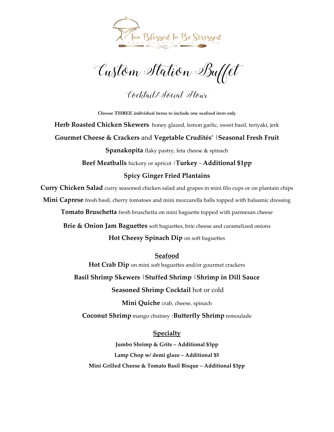

Custom Station Buffet

Cocktail/Social Hour

**Choose THREE individual items to include one seafood item only Herb Roasted Chicken Skewers** honey glazed, lemon garlic, sweet basil, teriyaki, jerk **Gourmet Cheese & Crackers** and **Vegetable Crudités'** |**Seasonal Fresh Fruit Spanakopita** flaky pastry, feta cheese & spinach **Beef Meatballs** hickory or apricot |**Turkey** - **Additional \$1pp Spicy Ginger Fried Plantains** 

**Curry Chicken Salad** curry seasoned chicken salad and grapes in mini filo cups or on plantain chips **Mini Caprese** fresh basil, cherry tomatoes and mini mozzarella balls topped with balsamic dressing

**Tomato Bruschetta** fresh bruschetta on mini baguette topped with parmesan cheese

**Brie & Onion Jam Baguettes** soft baguettes, brie cheese and caramelized onions

**Hot Cheesy Spinach Dip** on soft baguettes

**Seafood**

**Hot Crab Dip** on mini soft baguettes and/or gourmet crackers

**Basil Shrimp Skewers** |**Stuffed Shrimp** |**Shrimp in Dill Sauce**

**Seasoned Shrimp Cocktail** hot or cold

**Mini Quiche** crab, cheese, spinach

**Coconut Shrimp** mango chutney <sup>|</sup>**Butterfly Shrimp** remoulade

**Specialty** 

**Jumbo Shrimp & Grits – Additional \$3pp Lamp Chop w/ demi glaze – Additional \$5 Mini Grilled Cheese & Tomato Basil Bisque – Additional \$3pp**